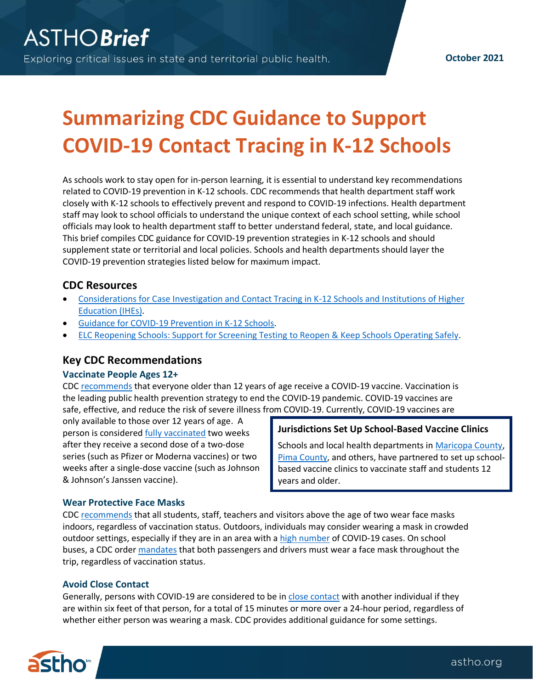# **Summarizing CDC Guidance to Support COVID-19 Contact Tracing in K-12 Schools**

As schools work to stay open for in-person learning, it is essential to understand key recommendations related to COVID-19 prevention in K-12 schools. CDC recommends that health department staff work closely with K-12 schools to effectively prevent and respond to COVID-19 infections. Health department staff may look to school officials to understand the unique context of each school setting, while school officials may look to health department staff to better understand federal, state, and local guidance. This brief compiles CDC guidance for COVID-19 prevention strategies in K-12 schools and should supplement state or territorial and local policies. Schools and health departments should layer the COVID-19 prevention strategies listed below for maximum impact.

# **CDC Resources**

- [Considerations for Case Investigation and Contact Tracing in K-12 Schools and Institutions of Higher](https://www.cdc.gov/coronavirus/2019-ncov/community/schools-childcare/contact-tracing.html)  [Education \(IHEs\).](https://www.cdc.gov/coronavirus/2019-ncov/community/schools-childcare/contact-tracing.html)
- [Guidance for COVID-19 Prevention in K-12 Schools.](https://www.cdc.gov/coronavirus/2019-ncov/community/schools-childcare/k-12-guidance.html)
- [ELC Reopening Schools: Support for Screening Testing to](https://www.cdc.gov/ncezid/dpei/pdf/guidance-elc-reopening-schools-508.pdf) Reopen & Keep Schools Operating Safely.

# **Key CDC Recommendations**

### **Vaccinate People Ages 12+**

CDC [recommends](https://www.cdc.gov/coronavirus/2019-ncov/vaccines/recommendations/adolescents.html) that everyone older than 12 years of age receive a COVID-19 vaccine. Vaccination is the leading public health prevention strategy to end the COVID-19 pandemic. COVID-19 vaccines are safe, effective, and reduce the risk of severe illness from COVID-19. Currently, COVID-19 vaccines are

only available to those over 12 years of age. A person is considere[d fully vaccinated](https://www.cdc.gov/coronavirus/2019-ncov/vaccines/fully-vaccinated.html) two weeks after they receive a second dose of a two-dose series (such as Pfizer or Moderna vaccines) or two weeks after a single-dose vaccine (such as Johnson & Johnson's Janssen vaccine).

## **Jurisdictions Set Up School-Based Vaccine Clinics**

Schools and local health departments in [Maricopa County,](https://www.maricopa.gov/5672/Vaccines-for-School-and-Childcare-Staff) [Pima County,](https://ein.az.gov/emergency-information/emergency-bulletin/pima-county-health-department-partnering-school-districts) and others, have partnered to set up schoolbased vaccine clinics to vaccinate staff and students 12 years and older.

### **Wear Protective Face Masks**

CDC [recommends](https://www.cdc.gov/coronavirus/2019-ncov/community/schools-childcare/k-12-guidance.html) that all students, staff, teachers and visitors above the age of two wear face masks indoors, regardless of vaccination status. Outdoors, individuals may consider wearing a mask in crowded outdoor settings, especially if they are in an area with [a high number](https://covid.cdc.gov/covid-data-tracker/#county-view) of COVID-19 cases. On school buses, a CDC order [mandates](https://www.cdc.gov/quarantine/masks/mask-travel-guidance.html) that both passengers and drivers must wear a face mask throughout the trip, regardless of vaccination status.

## **Avoid Close Contact**

Generally, persons with COVID-19 are considered to be i[n close contact](https://www.cdc.gov/coronavirus/2019-ncov/php/contact-tracing/contact-tracing-plan/appendix.html#contact) with another individual if they are within six feet of that person, for a total of 15 minutes or more over a 24-hour period, regardless of whether either person was wearing a mask. CDC provides additional guidance for some settings.